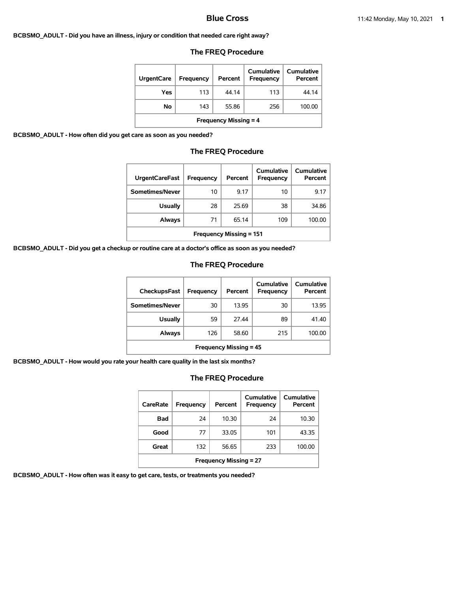#### **BCBSMO\_ADULT - Did you have an illness, injury or condition that needed care right away?**

| <b>UrgentCare</b>            | <b>Frequency</b> | Percent | <b>Cumulative</b><br><b>Frequency</b> | Cumulative<br>Percent |  |  |
|------------------------------|------------------|---------|---------------------------------------|-----------------------|--|--|
| Yes                          | 113              | 44.14   | 113                                   | 44.14                 |  |  |
| No                           | 143              | 55.86   | 256                                   | 100.00                |  |  |
| <b>Frequency Missing = 4</b> |                  |         |                                       |                       |  |  |

#### **The FREQ Procedure**

**BCBSMO\_ADULT - How often did you get care as soon as you needed?**

### **The FREQ Procedure**

| <b>UrgentCareFast</b>          | Frequency | Percent | Cumulative<br><b>Frequency</b> | Cumulative<br>Percent |  |
|--------------------------------|-----------|---------|--------------------------------|-----------------------|--|
| Sometimes/Never                | 10        | 9.17    | 10                             | 9.17                  |  |
| <b>Usually</b>                 | 28        | 25.69   | 38                             | 34.86                 |  |
| Always                         | 71        | 65.14   | 109                            | 100.00                |  |
| <b>Frequency Missing = 151</b> |           |         |                                |                       |  |

**BCBSMO\_ADULT - Did you get a checkup or routine care at a doctor's office as soon as you needed?**

#### **The FREQ Procedure**

| CheckupsFast                  | Frequency | Percent | Cumulative<br>Frequency | Cumulative<br>Percent |  |
|-------------------------------|-----------|---------|-------------------------|-----------------------|--|
| Sometimes/Never               | 30        | 13.95   | 30                      | 13.95                 |  |
| <b>Usually</b>                | 59        | 27.44   | 89                      | 41.40                 |  |
| Always                        | 126       | 58.60   | 215                     | 100.00                |  |
| <b>Frequency Missing = 45</b> |           |         |                         |                       |  |

**BCBSMO\_ADULT - How would you rate your health care quality in the last six months?**

# **The FREQ Procedure**

| CareRate                      | Frequency | Percent | Cumulative<br>Frequency | Cumulative<br>Percent |  |
|-------------------------------|-----------|---------|-------------------------|-----------------------|--|
| Bad                           | 24        | 10.30   | 24                      | 10.30                 |  |
| Good                          | 77        | 33.05   | 101                     | 43.35                 |  |
| Great                         | 132       | 56.65   | 233                     | 100.00                |  |
| <b>Frequency Missing = 27</b> |           |         |                         |                       |  |

**BCBSMO\_ADULT - How often was it easy to get care, tests, or treatments you needed?**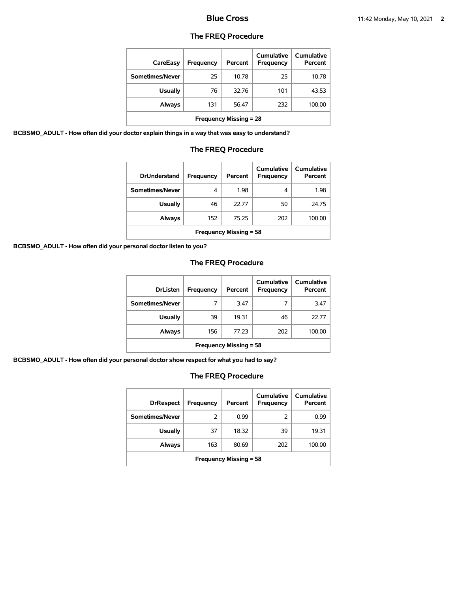| CareEasy                      | Frequency | Percent | Cumulative<br>Frequency | Cumulative<br>Percent |  |
|-------------------------------|-----------|---------|-------------------------|-----------------------|--|
| Sometimes/Never               | 25        | 10.78   | 25                      | 10.78                 |  |
| <b>Usually</b>                | 76        | 32.76   | 101                     | 43.53                 |  |
| <b>Always</b>                 | 131       | 56.47   | 232                     | 100.00                |  |
| <b>Frequency Missing = 28</b> |           |         |                         |                       |  |

**BCBSMO\_ADULT - How often did your doctor explain things in a way that was easy to understand?**

### **The FREQ Procedure**

| <b>DrUnderstand</b>           | Frequency | Percent | Cumulative<br>Frequency | Cumulative<br>Percent |  |
|-------------------------------|-----------|---------|-------------------------|-----------------------|--|
| Sometimes/Never               | 4         | 1.98    | 4                       | 1.98                  |  |
| <b>Usually</b>                | 46        | 22.77   | 50                      | 24.75                 |  |
| Always                        | 152       | 75.25   | 202                     | 100.00                |  |
| <b>Frequency Missing = 58</b> |           |         |                         |                       |  |

**BCBSMO\_ADULT - How often did your personal doctor listen to you?**

# **The FREQ Procedure**

| <b>DrListen</b>               | Frequency | Percent | Cumulative<br><b>Frequency</b> | Cumulative<br>Percent |  |
|-------------------------------|-----------|---------|--------------------------------|-----------------------|--|
| Sometimes/Never               | 7         | 3.47    |                                | 3.47                  |  |
| <b>Usually</b>                | 39        | 19.31   | 46                             | 22.77                 |  |
| Always                        | 156       | 77.23   | 202                            | 100.00                |  |
| <b>Frequency Missing = 58</b> |           |         |                                |                       |  |

**BCBSMO\_ADULT - How often did your personal doctor show respect for what you had to say?**

| <b>DrRespect</b>              | Frequency | Percent | Cumulative<br><b>Frequency</b> | <b>Cumulative</b><br>Percent |  |
|-------------------------------|-----------|---------|--------------------------------|------------------------------|--|
| Sometimes/Never               | 2         | 0.99    | 2                              | 0.99                         |  |
| <b>Usually</b>                | 37        | 18.32   | 39                             | 19.31                        |  |
| Always                        | 163       | 80.69   | 202                            | 100.00                       |  |
| <b>Frequency Missing = 58</b> |           |         |                                |                              |  |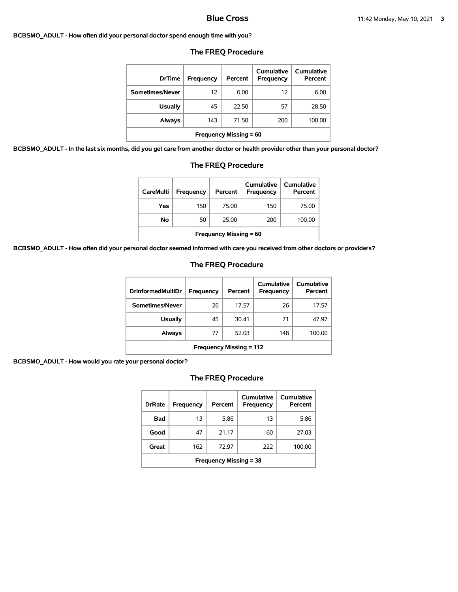#### **BCBSMO\_ADULT - How often did your personal doctor spend enough time with you?**

| <b>DrTime</b>                 | <b>Frequency</b> | Percent | Cumulative<br>Frequency | Cumulative<br>Percent |  |
|-------------------------------|------------------|---------|-------------------------|-----------------------|--|
| Sometimes/Never               | 12               | 6.00    | 12                      | 6.00                  |  |
| <b>Usually</b>                | 45               | 22.50   | 57                      | 28.50                 |  |
| Always                        | 143              | 71.50   | 200                     | 100.00                |  |
| <b>Frequency Missing = 60</b> |                  |         |                         |                       |  |

### **The FREQ Procedure**

**BCBSMO\_ADULT - In the last six months, did you get care from another doctor or health provider other than your personal doctor?**

| <b>Usually</b>                                                       | 45  | 22.50 |  |            | 57  | 28.5       |  |
|----------------------------------------------------------------------|-----|-------|--|------------|-----|------------|--|
| Always                                                               | 143 | 71.50 |  |            | 200 | 100.0      |  |
| <b>Frequency Missing = 60</b>                                        |     |       |  |            |     |            |  |
| id you get care from another doctor or health provider other than yo |     |       |  |            |     |            |  |
| <b>The FREQ Procedure</b>                                            |     |       |  |            |     |            |  |
|                                                                      |     |       |  | Cumulative |     | Cumulative |  |

| <b>CareMulti</b>              | Frequency | Percent | <b>Cumulative</b><br><b>Frequency</b> | <b>Cumulative</b><br>Percent |  |  |
|-------------------------------|-----------|---------|---------------------------------------|------------------------------|--|--|
| Yes                           | 150       | 75.00   | 150                                   | 75.00                        |  |  |
| No                            | 50        | 25.00   | 200                                   | 100.00                       |  |  |
| <b>Frequency Missing = 60</b> |           |         |                                       |                              |  |  |

**BCBSMO\_ADULT - How often did your personal doctor seemed informed with care you received from other doctors or providers?**

# **The FREQ Procedure**

| <b>DrInformedMultiDr</b>       | Frequency | Percent | Cumulative<br><b>Frequency</b> | Cumulative<br>Percent |  |
|--------------------------------|-----------|---------|--------------------------------|-----------------------|--|
| Sometimes/Never                | 26        | 17.57   | 26                             | 17.57                 |  |
| <b>Usually</b>                 | 45        | 30.41   | 71                             | 47.97                 |  |
| Always                         | 77        | 52.03   | 148                            | 100.00                |  |
| <b>Frequency Missing = 112</b> |           |         |                                |                       |  |

**BCBSMO\_ADULT - How would you rate your personal doctor?**

| <b>DrRate</b>                 | Frequency | Percent | Cumulative<br>Frequency | Cumulative<br>Percent |  |  |
|-------------------------------|-----------|---------|-------------------------|-----------------------|--|--|
| <b>Bad</b>                    | 13        | 5.86    | 13                      | 5.86                  |  |  |
| Good                          | 47        | 21.17   | 60                      | 27.03                 |  |  |
| Great                         | 162       | 72.97   | 222                     | 100.00                |  |  |
| <b>Frequency Missing = 38</b> |           |         |                         |                       |  |  |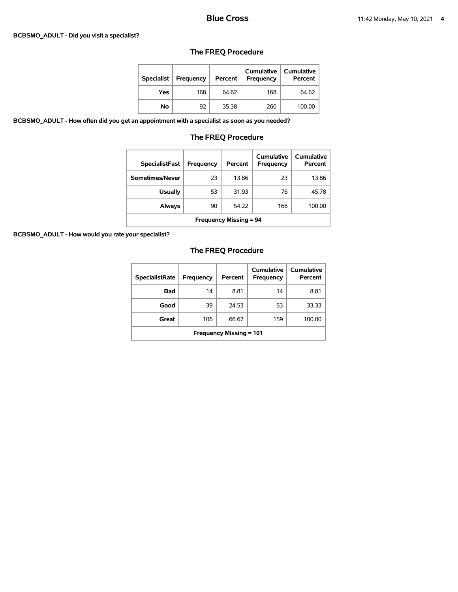#### **BCBSMO\_ADULT - Did you visit a specialist?**

# **The FREQ Procedure**

| <b>Specialist</b> | Frequency | Percent | <b>Cumulative</b><br><b>Frequency</b> | <b>Cumulative</b><br>Percent |
|-------------------|-----------|---------|---------------------------------------|------------------------------|
| Yes               | 168       | 64.62   | 168                                   | 64.62                        |
| No                | 92        | 35.38   | 260                                   | 100.00                       |

**BCBSMO\_ADULT - How often did you get an appointment with a specialist as soon as you needed?**

# **The FREQ Procedure**

| <b>SpecialistFast</b>         | Frequency | Percent | Cumulative<br><b>Frequency</b> | Cumulative<br>Percent |  |
|-------------------------------|-----------|---------|--------------------------------|-----------------------|--|
| Sometimes/Never               | 23        | 13.86   | 23                             | 13.86                 |  |
| <b>Usually</b>                | 53        | 31.93   | 76                             | 45.78                 |  |
| Always                        | 90        | 54.22   | 166                            | 100.00                |  |
| <b>Frequency Missing = 94</b> |           |         |                                |                       |  |

**BCBSMO\_ADULT - How would you rate your specialist?**

| <b>SpecialistRate</b>          | <b>Frequency</b> | Percent | Cumulative<br><b>Frequency</b> | Cumulative<br>Percent |  |
|--------------------------------|------------------|---------|--------------------------------|-----------------------|--|
| Bad                            | 14               | 8.81    | 14                             | 8.81                  |  |
| Good                           | 39               | 24.53   | 53                             | 33.33                 |  |
| Great                          | 106              | 66.67   | 159                            | 100.00                |  |
| <b>Frequency Missing = 101</b> |                  |         |                                |                       |  |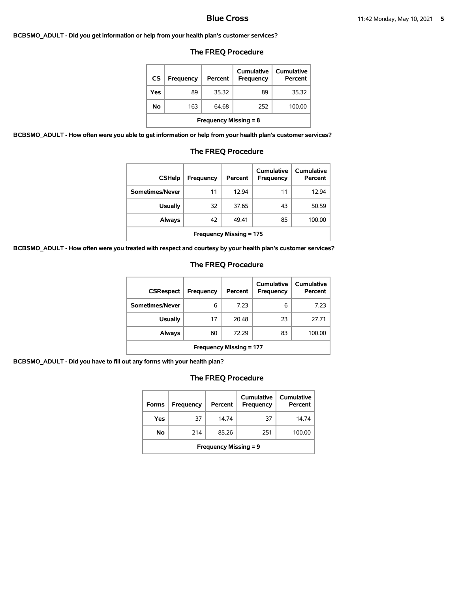#### **BCBSMO\_ADULT - Did you get information or help from your health plan's customer services?**

### **The FREQ Procedure**

| <b>CS</b>                    | <b>Frequency</b> | Percent | Cumulative<br>Frequency | <b>Cumulative</b><br>Percent |  |  |
|------------------------------|------------------|---------|-------------------------|------------------------------|--|--|
| Yes                          | 89               | 35.32   | 89                      | 35.32                        |  |  |
| No                           | 163              | 64.68   | 252                     | 100.00                       |  |  |
| <b>Frequency Missing = 8</b> |                  |         |                         |                              |  |  |

**BCBSMO\_ADULT - How often were you able to get information or help from your health plan's customer services?**

# **The FREQ Procedure**

| <b>CSHelp</b>                  | Frequency | Percent | Cumulative<br>Frequency | Cumulative<br>Percent |  |
|--------------------------------|-----------|---------|-------------------------|-----------------------|--|
| Sometimes/Never                | 11        | 12.94   | 11                      | 12.94                 |  |
| <b>Usually</b>                 | 32        | 37.65   | 43                      | 50.59                 |  |
| Always                         | 42        | 49.41   | 85                      | 100.00                |  |
| <b>Frequency Missing = 175</b> |           |         |                         |                       |  |

**BCBSMO\_ADULT - How often were you treated with respect and courtesy by your health plan's customer services?**

# **The FREQ Procedure**

| <b>CSRespect</b>               | Frequency | Percent | Cumulative<br>Frequency | <b>Cumulative</b><br>Percent |  |
|--------------------------------|-----------|---------|-------------------------|------------------------------|--|
| Sometimes/Never                | 6         | 7.23    | 6                       | 7.23                         |  |
| <b>Usually</b>                 | 17        | 20.48   | 23                      | 27.71                        |  |
| Always                         | 60        | 72.29   | 83                      | 100.00                       |  |
| <b>Frequency Missing = 177</b> |           |         |                         |                              |  |

**BCBSMO\_ADULT - Did you have to fill out any forms with your health plan?**

| <b>Forms</b>                 | Frequency | Percent | Cumulative<br>Frequency | Cumulative<br>Percent |  |  |
|------------------------------|-----------|---------|-------------------------|-----------------------|--|--|
| Yes                          | 37        | 1474    | 37                      | 14.74                 |  |  |
| No                           | 214       | 85.26   | 251                     | 100.00                |  |  |
| <b>Frequency Missing = 9</b> |           |         |                         |                       |  |  |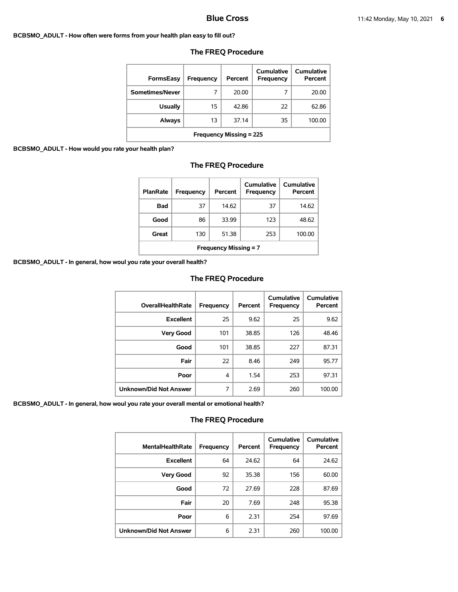#### **BCBSMO\_ADULT - How often were forms from your health plan easy to fill out?**

| FormsEasy                      | Frequency | Percent | Cumulative<br>Frequency | Cumulative<br>Percent |  |
|--------------------------------|-----------|---------|-------------------------|-----------------------|--|
| Sometimes/Never                | 7         | 20.00   |                         | 20.00                 |  |
| <b>Usually</b>                 | 15        | 42.86   | 22                      | 62.86                 |  |
| Always                         | 13        | 37.14   | 35                      | 100.00                |  |
| <b>Frequency Missing = 225</b> |           |         |                         |                       |  |

# **The FREQ Procedure**

### **BCBSMO\_ADULT - How would you rate your**

| health plan?              |                  |         |                         |                       |  |  |
|---------------------------|------------------|---------|-------------------------|-----------------------|--|--|
| <b>The FREQ Procedure</b> |                  |         |                         |                       |  |  |
| <b>PlanRate</b>           | <b>Frequency</b> | Percent | Cumulative<br>Frequency | Cumulative<br>Percent |  |  |
| <b>Bad</b>                | 37               | 14.62   | 37                      | 14.62                 |  |  |
| Good                      | 86               | 33.99   | 123                     | 48.62                 |  |  |
|                           |                  |         |                         |                       |  |  |

**Great** 130 51.38 253 100.00

**Frequency Missing = 7**

**BCBSMO\_ADULT - In general, how woul you rate your overall health?**

### **The FREQ Procedure**

| <b>OverallHealthRate</b>      | Frequency | Percent | Cumulative<br><b>Frequency</b> | <b>Cumulative</b><br>Percent |
|-------------------------------|-----------|---------|--------------------------------|------------------------------|
| <b>Excellent</b>              | 25        | 9.62    | 25                             | 9.62                         |
| <b>Very Good</b>              | 101       | 38.85   | 126                            | 48.46                        |
| Good                          | 101       | 38.85   | 227                            | 87.31                        |
| Fair                          | 22        | 8.46    | 249                            | 95.77                        |
| Poor                          | 4         | 1.54    | 253                            | 97.31                        |
| <b>Unknown/Did Not Answer</b> | 7         | 2.69    | 260                            | 100.00                       |

**BCBSMO\_ADULT - In general, how woul you rate your overall mental or emotional health?**

| <b>MentalHealthRate</b>       | Frequency | Percent | Cumulative<br>Frequency | Cumulative<br>Percent |
|-------------------------------|-----------|---------|-------------------------|-----------------------|
| <b>Excellent</b>              | 64        | 24.62   | 64                      | 24.62                 |
| <b>Very Good</b>              | 92        | 35.38   | 156                     | 60.00                 |
| Good                          | 72        | 27.69   | 228                     | 87.69                 |
| Fair                          | 20        | 7.69    | 248                     | 95.38                 |
| Poor                          | 6         | 2.31    | 254                     | 97.69                 |
| <b>Unknown/Did Not Answer</b> | 6         | 2.31    | 260                     | 100.00                |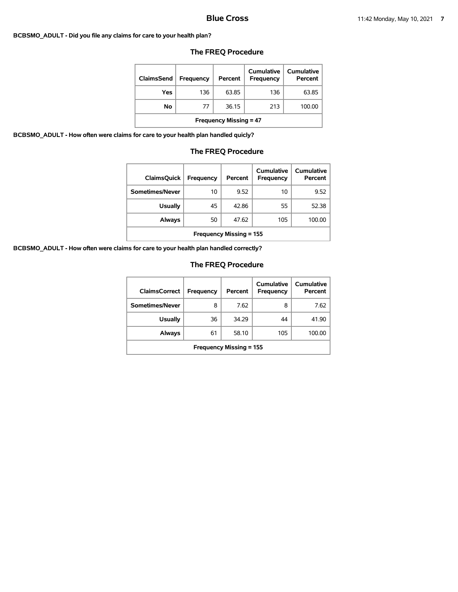#### **BCBSMO\_ADULT - Did you file any claims for care to your health plan?**

| ClaimsSend                    | <b>Frequency</b> | Percent | Cumulative<br>Frequency | Cumulative<br>Percent |  |
|-------------------------------|------------------|---------|-------------------------|-----------------------|--|
| Yes                           | 136              | 63.85   | 136                     | 63.85                 |  |
| No                            | 77               | 36.15   | 213                     | 100.00                |  |
| <b>Frequency Missing = 47</b> |                  |         |                         |                       |  |

# **The FREQ Procedure**

**BCBSMO\_ADULT - How often were claims for care to your health plan handled quicly?**

# **The FREQ Procedure**

| <b>ClaimsQuick</b>             | Frequency | Percent | Cumulative<br>Frequency | <b>Cumulative</b><br>Percent |
|--------------------------------|-----------|---------|-------------------------|------------------------------|
| Sometimes/Never                | 10        | 9.52    | 10                      | 9.52                         |
| <b>Usually</b>                 | 45        | 42.86   | 55                      | 52.38                        |
| Always                         | 50        | 47.62   | 105                     | 100.00                       |
| <b>Frequency Missing = 155</b> |           |         |                         |                              |

**BCBSMO\_ADULT - How often were claims for care to your health plan handled correctly?**

| <b>ClaimsCorrect</b>           | Frequency | Percent | Cumulative<br>Frequency | Cumulative<br>Percent |
|--------------------------------|-----------|---------|-------------------------|-----------------------|
| Sometimes/Never                | 8         | 7.62    | 8                       | 7.62                  |
| <b>Usually</b>                 | 36        | 34.29   | 44                      | 41.90                 |
| Always                         | 61        | 58.10   | 105                     | 100.00                |
| <b>Frequency Missing = 155</b> |           |         |                         |                       |